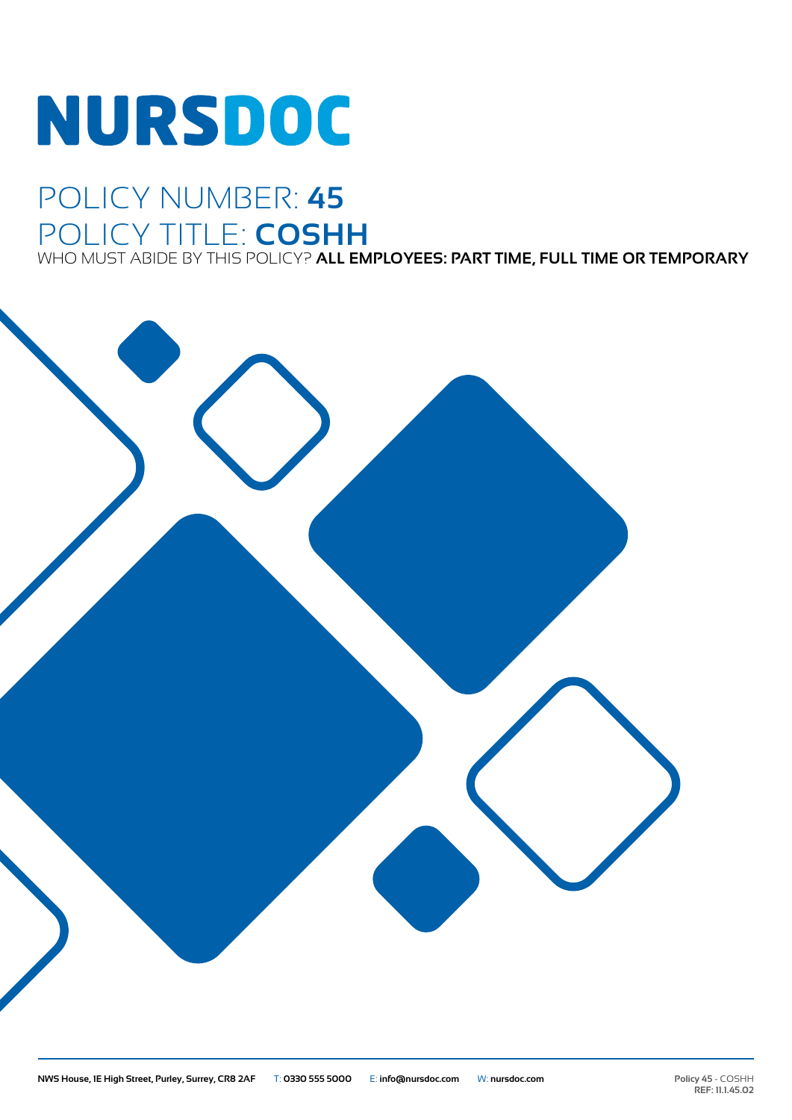# **NURSDOC**

## POLICY NUMBER: **45** POLICY TITLE: **COSHH**

WHO MUST ABIDE BY THIS POLICY? **ALL EMPLOYEES: PART TIME, FULL TIME OR TEMPORARY**